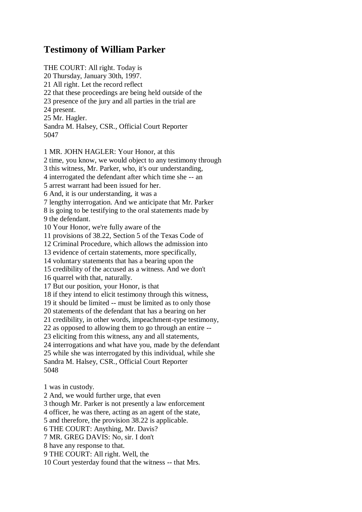## **Testimony of William Parker**

THE COURT: All right. Today is 20 Thursday, January 30th, 1997. 21 All right. Let the record reflect 22 that these proceedings are being held outside of the 23 presence of the jury and all parties in the trial are 24 present. 25 Mr. Hagler. Sandra M. Halsey, CSR., Official Court Reporter 5047 1 MR. JOHN HAGLER: Your Honor, at this

2 time, you know, we would object to any testimony through

3 this witness, Mr. Parker, who, it's our understanding,

4 interrogated the defendant after which time she -- an

5 arrest warrant had been issued for her.

6 And, it is our understanding, it was a

7 lengthy interrogation. And we anticipate that Mr. Parker 8 is going to be testifying to the oral statements made by

9 the defendant.

10 Your Honor, we're fully aware of the

11 provisions of 38.22, Section 5 of the Texas Code of

12 Criminal Procedure, which allows the admission into

13 evidence of certain statements, more specifically,

14 voluntary statements that has a bearing upon the

15 credibility of the accused as a witness. And we don't 16 quarrel with that, naturally.

17 But our position, your Honor, is that

18 if they intend to elicit testimony through this witness,

19 it should be limited -- must be limited as to only those

20 statements of the defendant that has a bearing on her

21 credibility, in other words, impeachment-type testimony,

22 as opposed to allowing them to go through an entire --

23 eliciting from this witness, any and all statements,

24 interrogations and what have you, made by the defendant 25 while she was interrogated by this individual, while she Sandra M. Halsey, CSR., Official Court Reporter

5048

1 was in custody.

2 And, we would further urge, that even

3 though Mr. Parker is not presently a law enforcement

4 officer, he was there, acting as an agent of the state,

5 and therefore, the provision 38.22 is applicable.

6 THE COURT: Anything, Mr. Davis?

7 MR. GREG DAVIS: No, sir. I don't

8 have any response to that.

9 THE COURT: All right. Well, the

10 Court yesterday found that the witness -- that Mrs.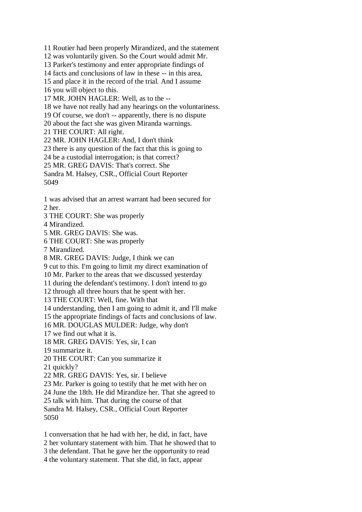11 Routier had been properly Mirandized, and the statement

12 was voluntarily given. So the Court would admit Mr.

13 Parker's testimony and enter appropriate findings of

14 facts and conclusions of law in these -- in this area,

15 and place it in the record of the trial. And I assume

16 you will object to this.

17 MR. JOHN HAGLER: Well, as to the --

18 we have not really had any hearings on the voluntariness.

19 Of course, we don't -- apparently, there is no dispute

20 about the fact she was given Miranda warnings.

21 THE COURT: All right.

22 MR. JOHN HAGLER: And, I don't think

23 there is any question of the fact that this is going to

24 be a custodial interrogation; is that correct?

25 MR. GREG DAVIS: That's correct. She

Sandra M. Halsey, CSR., Official Court Reporter 5049

1 was advised that an arrest warrant had been secured for

2 her.

3 THE COURT: She was properly

4 Mirandized.

5 MR. GREG DAVIS: She was.

6 THE COURT: She was properly

7 Mirandized.

8 MR. GREG DAVIS: Judge, I think we can

9 cut to this. I'm going to limit my direct examination of

10 Mr. Parker to the areas that we discussed yesterday

11 during the defendant's testimony. I don't intend to go

12 through all three hours that he spent with her.

13 THE COURT: Well, fine. With that

14 understanding, then I am going to admit it, and I'll make

15 the appropriate findings of facts and conclusions of law.

16 MR. DOUGLAS MULDER: Judge, why don't

17 we find out what it is.

18 MR. GREG DAVIS: Yes, sir, I can

19 summarize it.

20 THE COURT: Can you summarize it

21 quickly?

22 MR. GREG DAVIS: Yes, sir. I believe

23 Mr. Parker is going to testify that he met with her on

24 June the 18th. He did Mirandize her. That she agreed to

25 talk with him. That during the course of that

Sandra M. Halsey, CSR., Official Court Reporter 5050

1 conversation that he had with her, he did, in fact, have 2 her voluntary statement with him. That he showed that to

3 the defendant. That he gave her the opportunity to read

4 the voluntary statement. That she did, in fact, appear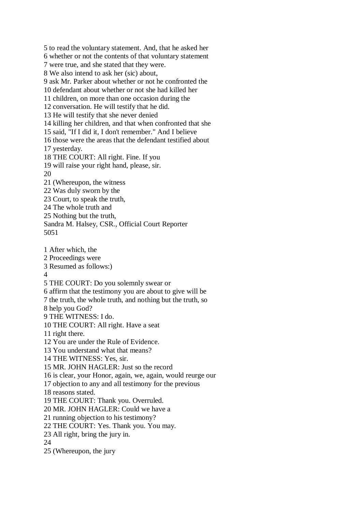5 to read the voluntary statement. And, that he asked her 6 whether or not the contents of that voluntary statement 7 were true, and she stated that they were. 8 We also intend to ask her (sic) about, 9 ask Mr. Parker about whether or not he confronted the 10 defendant about whether or not she had killed her 11 children, on more than one occasion during the 12 conversation. He will testify that he did. 13 He will testify that she never denied 14 killing her children, and that when confronted that she 15 said, "If I did it, I don't remember." And I believe 16 those were the areas that the defendant testified about 17 yesterday. 18 THE COURT: All right. Fine. If you 19 will raise your right hand, please, sir. 20 21 (Whereupon, the witness 22 Was duly sworn by the 23 Court, to speak the truth, 24 The whole truth and 25 Nothing but the truth, Sandra M. Halsey, CSR., Official Court Reporter 5051 1 After which, the 2 Proceedings were 3 Resumed as follows:)  $\Delta$ 5 THE COURT: Do you solemnly swear or 6 affirm that the testimony you are about to give will be 7 the truth, the whole truth, and nothing but the truth, so 8 help you God? 9 THE WITNESS: I do. 10 THE COURT: All right. Have a seat 11 right there. 12 You are under the Rule of Evidence. 13 You understand what that means? 14 THE WITNESS: Yes, sir. 15 MR. JOHN HAGLER: Just so the record 16 is clear, your Honor, again, we, again, would reurge our 17 objection to any and all testimony for the previous 18 reasons stated. 19 THE COURT: Thank you. Overruled. 20 MR. JOHN HAGLER: Could we have a 21 running objection to his testimony? 22 THE COURT: Yes. Thank you. You may. 23 All right, bring the jury in. 24 25 (Whereupon, the jury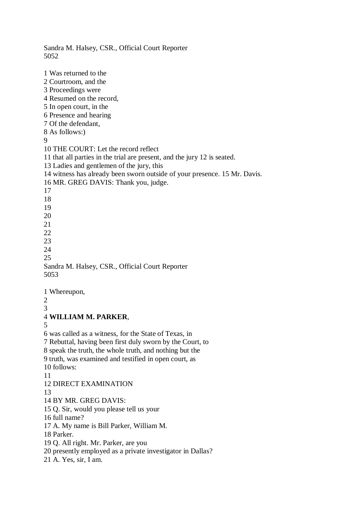5052 1 Was returned to the 2 Courtroom, and the 3 Proceedings were 4 Resumed on the record, 5 In open court, in the 6 Presence and hearing 7 Of the defendant, 8 As follows:) 9 10 THE COURT: Let the record reflect 11 that all parties in the trial are present, and the jury 12 is seated. 13 Ladies and gentlemen of the jury, this 14 witness has already been sworn outside of your presence. 15 Mr. Davis. 16 MR. GREG DAVIS: Thank you, judge. 17 18 19 20 21 22 23 24 25 Sandra M. Halsey, CSR., Official Court Reporter 5053 1 Whereupon, 2 3 4 **WILLIAM M. PARKER**, 5 6 was called as a witness, for the State of Texas, in 7 Rebuttal, having been first duly sworn by the Court, to 8 speak the truth, the whole truth, and nothing but the 9 truth, was examined and testified in open court, as 10 follows: 11 12 DIRECT EXAMINATION 13 14 BY MR. GREG DAVIS: 15 Q. Sir, would you please tell us your 16 full name? 17 A. My name is Bill Parker, William M. 18 Parker. 19 Q. All right. Mr. Parker, are you 20 presently employed as a private investigator in Dallas? 21 A. Yes, sir, I am.

Sandra M. Halsey, CSR., Official Court Reporter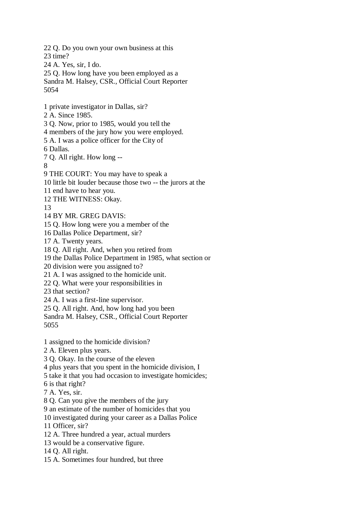22 Q. Do you own your own business at this 23 time? 24 A. Yes, sir, I do. 25 Q. How long have you been employed as a Sandra M. Halsey, CSR., Official Court Reporter 5054 1 private investigator in Dallas, sir? 2 A. Since 1985. 3 Q. Now, prior to 1985, would you tell the 4 members of the jury how you were employed. 5 A. I was a police officer for the City of 6 Dallas. 7 Q. All right. How long -- 8 9 THE COURT: You may have to speak a 10 little bit louder because those two -- the jurors at the 11 end have to hear you. 12 THE WITNESS: Okay. 13 14 BY MR. GREG DAVIS: 15 Q. How long were you a member of the 16 Dallas Police Department, sir? 17 A. Twenty years. 18 Q. All right. And, when you retired from 19 the Dallas Police Department in 1985, what section or 20 division were you assigned to? 21 A. I was assigned to the homicide unit. 22 Q. What were your responsibilities in 23 that section? 24 A. I was a first-line supervisor. 25 Q. All right. And, how long had you been Sandra M. Halsey, CSR., Official Court Reporter 5055 1 assigned to the homicide division? 2 A. Eleven plus years. 3 Q. Okay. In the course of the eleven 4 plus years that you spent in the homicide division, I 5 take it that you had occasion to investigate homicides; 6 is that right? 7 A. Yes, sir. 8 Q. Can you give the members of the jury 9 an estimate of the number of homicides that you 10 investigated during your career as a Dallas Police 11 Officer, sir? 12 A. Three hundred a year, actual murders 13 would be a conservative figure. 14 Q. All right. 15 A. Sometimes four hundred, but three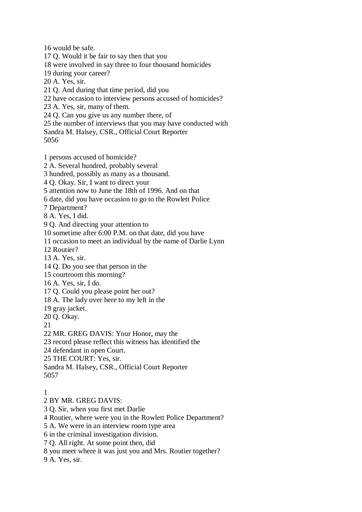16 would be safe.

17 Q. Would it be fair to say then that you

18 were involved in say three to four thousand homicides

19 during your career?

20 A. Yes, sir.

21 Q. And during that time period, did you

22 have occasion to interview persons accused of homicides?

23 A. Yes, sir, many of them.

24 Q. Can you give us any number there, of

25 the number of interviews that you may have conducted with

Sandra M. Halsey, CSR., Official Court Reporter

5056

1 persons accused of homicide?

2 A. Several hundred, probably several

3 hundred, possibly as many as a thousand.

4 Q. Okay. Sir, I want to direct your

5 attention now to June the 18th of 1996. And on that

6 date, did you have occasion to go to the Rowlett Police

7 Department?

8 A. Yes, I did.

9 Q. And directing your attention to

10 sometime after 6:00 P.M. on that date, did you have

11 occasion to meet an individual by the name of Darlie Lynn

12 Routier?

13 A. Yes, sir.

14 Q. Do you see that person in the

15 courtroom this morning?

16 A. Yes, sir, I do.

17 Q. Could you please point her out?

18 A. The lady over here to my left in the

19 gray jacket.

20 Q. Okay.

21

22 MR. GREG DAVIS: Your Honor, may the

23 record please reflect this witness has identified the

24 defendant in open Court.

25 THE COURT: Yes, sir.

Sandra M. Halsey, CSR., Official Court Reporter 5057

## 1

2 BY MR. GREG DAVIS:

3 Q. Sir, when you first met Darlie

4 Routier, where were you in the Rowlett Police Department?

5 A. We were in an interview room type area

6 in the criminal investigation division.

7 Q. All right. At some point then, did

8 you meet where it was just you and Mrs. Routier together?

9 A. Yes, sir.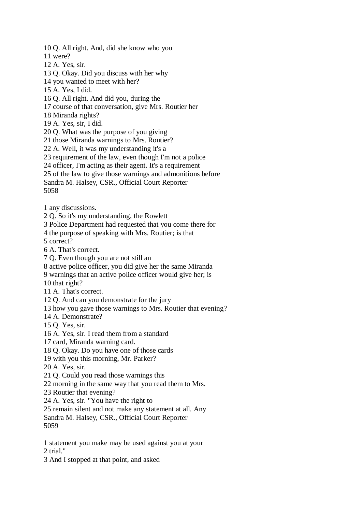10 Q. All right. And, did she know who you

11 were?

12 A. Yes, sir.

13 Q. Okay. Did you discuss with her why

14 you wanted to meet with her?

15 A. Yes, I did.

16 Q. All right. And did you, during the

17 course of that conversation, give Mrs. Routier her

18 Miranda rights?

19 A. Yes, sir, I did.

20 Q. What was the purpose of you giving

21 those Miranda warnings to Mrs. Routier?

22 A. Well, it was my understanding it's a

23 requirement of the law, even though I'm not a police

24 officer, I'm acting as their agent. It's a requirement

25 of the law to give those warnings and admonitions before

Sandra M. Halsey, CSR., Official Court Reporter 5058

1 any discussions.

2 Q. So it's my understanding, the Rowlett

3 Police Department had requested that you come there for

4 the purpose of speaking with Mrs. Routier; is that

5 correct?

6 A. That's correct.

7 Q. Even though you are not still an

8 active police officer, you did give her the same Miranda

9 warnings that an active police officer would give her; is

10 that right?

11 A. That's correct.

12 Q. And can you demonstrate for the jury

13 how you gave those warnings to Mrs. Routier that evening?

14 A. Demonstrate?

15 Q. Yes, sir.

16 A. Yes, sir. I read them from a standard

17 card, Miranda warning card.

18 Q. Okay. Do you have one of those cards

19 with you this morning, Mr. Parker?

20 A. Yes, sir.

21 Q. Could you read those warnings this

22 morning in the same way that you read them to Mrs.

23 Routier that evening?

24 A. Yes, sir. "You have the right to

25 remain silent and not make any statement at all. Any

Sandra M. Halsey, CSR., Official Court Reporter 5059

1 statement you make may be used against you at your 2 trial."

3 And I stopped at that point, and asked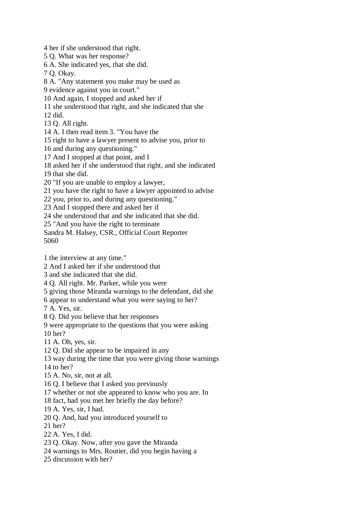4 her if she understood that right.

5 Q. What was her response?

6 A. She indicated yes, that she did.

7 Q. Okay.

8 A. "Any statement you make may be used as

9 evidence against you in court."

10 And again, I stopped and asked her if

11 she understood that right, and she indicated that she

12 did.

13 Q. All right.

14 A. I then read item 3. "You have the

15 right to have a lawyer present to advise you, prior to

16 and during any questioning."

17 And I stopped at that point, and I

18 asked her if she understood that right, and she indicated

19 that she did.

20 "If you are unable to employ a lawyer,

21 you have the right to have a lawyer appointed to advise

22 you, prior to, and during any questioning."

23 And I stopped there and asked her if

24 she understood that and she indicated that she did.

25 "And you have the right to terminate

Sandra M. Halsey, CSR., Official Court Reporter 5060

1 the interview at any time."

2 And I asked her if she understood that

3 and she indicated that she did.

4 Q. All right. Mr. Parker, while you were

5 giving those Miranda warnings to the defendant, did she

6 appear to understand what you were saying to her?

7 A. Yes, sir.

8 Q. Did you believe that her responses

9 were appropriate to the questions that you were asking 10 her?

11 A. Oh, yes, sir.

12 Q. Did she appear to be impaired in any

13 way during the time that you were giving those warnings

14 to her?

15 A. No, sir, not at all.

16 Q. I believe that I asked you previously

17 whether or not she appeared to know who you are. In

18 fact, had you met her briefly the day before?

19 A. Yes, sir, I had.

20 Q. And, had you introduced yourself to

21 her?

22 A. Yes, I did.

23 Q. Okay. Now, after you gave the Miranda

24 warnings to Mrs. Routier, did you begin having a

25 discussion with her?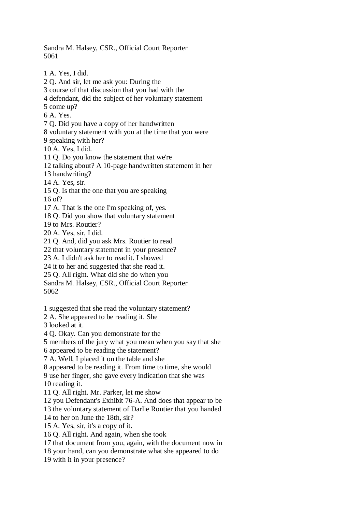Sandra M. Halsey, CSR., Official Court Reporter 5061

- 1 A. Yes, I did.
- 2 Q. And sir, let me ask you: During the
- 3 course of that discussion that you had with the
- 4 defendant, did the subject of her voluntary statement
- 5 come up?
- 6 A. Yes.
- 7 Q. Did you have a copy of her handwritten
- 8 voluntary statement with you at the time that you were
- 9 speaking with her?
- 10 A. Yes, I did.
- 11 Q. Do you know the statement that we're
- 12 talking about? A 10-page handwritten statement in her
- 13 handwriting?
- 14 A. Yes, sir.
- 15 Q. Is that the one that you are speaking
- 16 of?
- 17 A. That is the one I'm speaking of, yes.
- 18 Q. Did you show that voluntary statement
- 19 to Mrs. Routier?
- 20 A. Yes, sir, I did.
- 21 Q. And, did you ask Mrs. Routier to read
- 22 that voluntary statement in your presence?
- 23 A. I didn't ask her to read it. I showed
- 24 it to her and suggested that she read it.
- 25 Q. All right. What did she do when you
- Sandra M. Halsey, CSR., Official Court Reporter 5062
- 1 suggested that she read the voluntary statement?
- 2 A. She appeared to be reading it. She
- 3 looked at it.
- 4 Q. Okay. Can you demonstrate for the
- 5 members of the jury what you mean when you say that she
- 6 appeared to be reading the statement?
- 7 A. Well, I placed it on the table and she
- 8 appeared to be reading it. From time to time, she would
- 9 use her finger, she gave every indication that she was 10 reading it.
- 11 Q. All right. Mr. Parker, let me show
- 12 you Defendant's Exhibit 76-A. And does that appear to be
- 13 the voluntary statement of Darlie Routier that you handed
- 14 to her on June the 18th, sir?
- 15 A. Yes, sir, it's a copy of it.
- 16 Q. All right. And again, when she took
- 17 that document from you, again, with the document now in
- 18 your hand, can you demonstrate what she appeared to do
- 19 with it in your presence?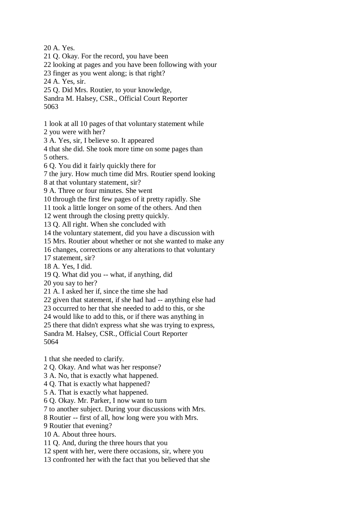21 Q. Okay. For the record, you have been 22 looking at pages and you have been following with your 23 finger as you went along; is that right? 24 A. Yes, sir. 25 Q. Did Mrs. Routier, to your knowledge, Sandra M. Halsey, CSR., Official Court Reporter 5063 1 look at all 10 pages of that voluntary statement while 2 you were with her? 3 A. Yes, sir, I believe so. It appeared 4 that she did. She took more time on some pages than 5 others. 6 Q. You did it fairly quickly there for 7 the jury. How much time did Mrs. Routier spend looking 8 at that voluntary statement, sir? 9 A. Three or four minutes. She went 10 through the first few pages of it pretty rapidly. She 11 took a little longer on some of the others. And then 12 went through the closing pretty quickly. 13 Q. All right. When she concluded with 14 the voluntary statement, did you have a discussion with 15 Mrs. Routier about whether or not she wanted to make any 16 changes, corrections or any alterations to that voluntary 17 statement, sir? 18 A. Yes, I did. 19 Q. What did you -- what, if anything, did 20 you say to her? 21 A. I asked her if, since the time she had 22 given that statement, if she had had -- anything else had 23 occurred to her that she needed to add to this, or she 24 would like to add to this, or if there was anything in 25 there that didn't express what she was trying to express, Sandra M. Halsey, CSR., Official Court Reporter 5064 1 that she needed to clarify. 2 Q. Okay. And what was her response? 3 A. No, that is exactly what happened. 4 Q. That is exactly what happened? 5 A. That is exactly what happened. 6 Q. Okay. Mr. Parker, I now want to turn 7 to another subject. During your discussions with Mrs. 8 Routier -- first of all, how long were you with Mrs. 9 Routier that evening? 10 A. About three hours. 11 Q. And, during the three hours that you

12 spent with her, were there occasions, sir, where you

20 A. Yes.

13 confronted her with the fact that you believed that she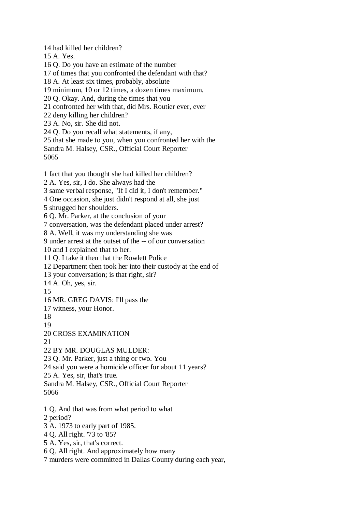14 had killed her children? 15 A. Yes. 16 Q. Do you have an estimate of the number 17 of times that you confronted the defendant with that? 18 A. At least six times, probably, absolute 19 minimum, 10 or 12 times, a dozen times maximum. 20 Q. Okay. And, during the times that you 21 confronted her with that, did Mrs. Routier ever, ever 22 deny killing her children? 23 A. No, sir. She did not. 24 Q. Do you recall what statements, if any, 25 that she made to you, when you confronted her with the Sandra M. Halsey, CSR., Official Court Reporter 5065 1 fact that you thought she had killed her children? 2 A. Yes, sir, I do. She always had the 3 same verbal response, "If I did it, I don't remember." 4 One occasion, she just didn't respond at all, she just 5 shrugged her shoulders. 6 Q. Mr. Parker, at the conclusion of your 7 conversation, was the defendant placed under arrest? 8 A. Well, it was my understanding she was 9 under arrest at the outset of the -- of our conversation 10 and I explained that to her. 11 Q. I take it then that the Rowlett Police 12 Department then took her into their custody at the end of 13 your conversation; is that right, sir? 14 A. Oh, yes, sir. 15 16 MR. GREG DAVIS: I'll pass the 17 witness, your Honor. 18 19 20 CROSS EXAMINATION 21 22 BY MR. DOUGLAS MULDER: 23 Q. Mr. Parker, just a thing or two. You 24 said you were a homicide officer for about 11 years? 25 A. Yes, sir, that's true. Sandra M. Halsey, CSR., Official Court Reporter 5066 1 Q. And that was from what period to what 2 period? 3 A. 1973 to early part of 1985. 4 Q. All right. '73 to '85? 5 A. Yes, sir, that's correct.

6 Q. All right. And approximately how many

7 murders were committed in Dallas County during each year,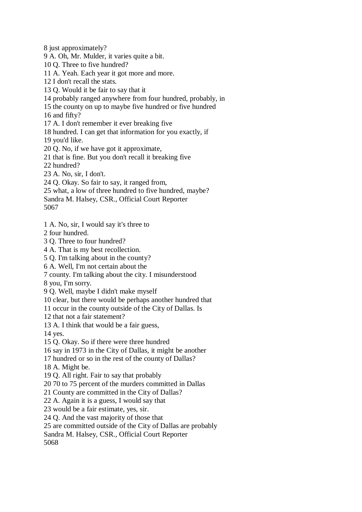8 just approximately?

9 A. Oh, Mr. Mulder, it varies quite a bit.

10 Q. Three to five hundred?

11 A. Yeah. Each year it got more and more.

12 I don't recall the stats.

13 Q. Would it be fair to say that it

14 probably ranged anywhere from four hundred, probably, in

15 the county on up to maybe five hundred or five hundred

16 and fifty?

17 A. I don't remember it ever breaking five

18 hundred. I can get that information for you exactly, if

19 you'd like.

20 Q. No, if we have got it approximate,

21 that is fine. But you don't recall it breaking five

22 hundred?

23 A. No, sir, I don't.

24 Q. Okay. So fair to say, it ranged from,

25 what, a low of three hundred to five hundred, maybe?

Sandra M. Halsey, CSR., Official Court Reporter

5067

1 A. No, sir, I would say it's three to

2 four hundred.

3 Q. Three to four hundred?

4 A. That is my best recollection.

5 Q. I'm talking about in the county?

6 A. Well, I'm not certain about the

7 county. I'm talking about the city. I misunderstood

8 you, I'm sorry.

9 Q. Well, maybe I didn't make myself

10 clear, but there would be perhaps another hundred that

11 occur in the county outside of the City of Dallas. Is

12 that not a fair statement?

13 A. I think that would be a fair guess,

14 yes.

15 Q. Okay. So if there were three hundred

16 say in 1973 in the City of Dallas, it might be another

17 hundred or so in the rest of the county of Dallas?

18 A. Might be.

19 Q. All right. Fair to say that probably

20 70 to 75 percent of the murders committed in Dallas

21 County are committed in the City of Dallas?

22 A. Again it is a guess, I would say that

23 would be a fair estimate, yes, sir.

24 Q. And the vast majority of those that

25 are committed outside of the City of Dallas are probably

Sandra M. Halsey, CSR., Official Court Reporter

5068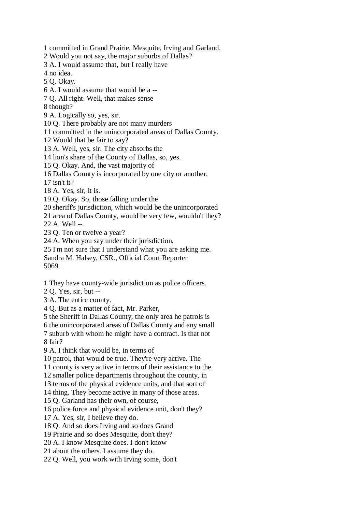1 committed in Grand Prairie, Mesquite, Irving and Garland.

2 Would you not say, the major suburbs of Dallas?

3 A. I would assume that, but I really have

4 no idea.

5 Q. Okay.

6 A. I would assume that would be a --

7 Q. All right. Well, that makes sense

8 though?

9 A. Logically so, yes, sir.

10 Q. There probably are not many murders

11 committed in the unincorporated areas of Dallas County.

12 Would that be fair to say?

13 A. Well, yes, sir. The city absorbs the

14 lion's share of the County of Dallas, so, yes.

15 Q. Okay. And, the vast majority of

16 Dallas County is incorporated by one city or another,

17 isn't it?

18 A. Yes, sir, it is.

19 Q. Okay. So, those falling under the

20 sheriff's jurisdiction, which would be the unincorporated

21 area of Dallas County, would be very few, wouldn't they?

22 A. Well --

23 Q. Ten or twelve a year?

24 A. When you say under their jurisdiction,

25 I'm not sure that I understand what you are asking me. Sandra M. Halsey, CSR., Official Court Reporter

5069

1 They have county-wide jurisdiction as police officers.

2 Q. Yes, sir, but --

3 A. The entire county.

4 Q. But as a matter of fact, Mr. Parker,

5 the Sheriff in Dallas County, the only area he patrols is

6 the unincorporated areas of Dallas County and any small

7 suburb with whom he might have a contract. Is that not 8 fair?

9 A. I think that would be, in terms of

10 patrol, that would be true. They're very active. The

11 county is very active in terms of their assistance to the

12 smaller police departments throughout the county, in

13 terms of the physical evidence units, and that sort of

14 thing. They become active in many of those areas.

15 Q. Garland has their own, of course,

16 police force and physical evidence unit, don't they?

17 A. Yes, sir, I believe they do.

18 Q. And so does Irving and so does Grand

19 Prairie and so does Mesquite, don't they?

20 A. I know Mesquite does. I don't know

21 about the others. I assume they do.

22 Q. Well, you work with Irving some, don't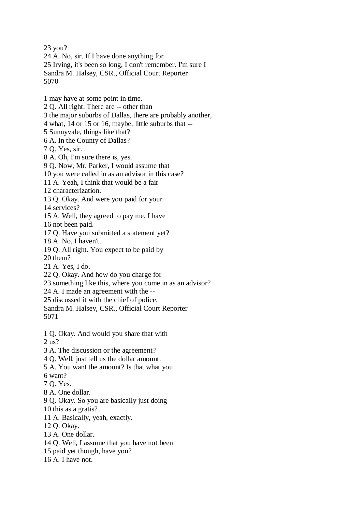23 you?

24 A. No, sir. If I have done anything for 25 Irving, it's been so long, I don't remember. I'm sure I Sandra M. Halsey, CSR., Official Court Reporter 5070

1 may have at some point in time.

2 Q. All right. There are -- other than

3 the major suburbs of Dallas, there are probably another,

4 what, 14 or 15 or 16, maybe, little suburbs that --

5 Sunnyvale, things like that?

6 A. In the County of Dallas?

7 Q. Yes, sir.

8 A. Oh, I'm sure there is, yes.

9 Q. Now, Mr. Parker, I would assume that

10 you were called in as an advisor in this case?

11 A. Yeah, I think that would be a fair

12 characterization.

13 Q. Okay. And were you paid for your

14 services?

15 A. Well, they agreed to pay me. I have

16 not been paid.

17 Q. Have you submitted a statement yet?

18 A. No, I haven't.

19 Q. All right. You expect to be paid by

20 them?

21 A. Yes, I do.

22 Q. Okay. And how do you charge for

23 something like this, where you come in as an advisor?

24 A. I made an agreement with the --

25 discussed it with the chief of police.

Sandra M. Halsey, CSR., Official Court Reporter 5071

1 Q. Okay. And would you share that with

2 us?

3 A. The discussion or the agreement?

4 Q. Well, just tell us the dollar amount.

5 A. You want the amount? Is that what you

6 want?

7 Q. Yes.

8 A. One dollar.

9 Q. Okay. So you are basically just doing

10 this as a gratis?

11 A. Basically, yeah, exactly.

12 Q. Okay.

13 A. One dollar.

14 Q. Well, I assume that you have not been

15 paid yet though, have you?

16 A. I have not.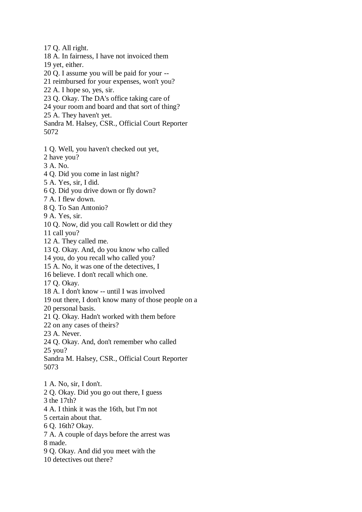17 Q. All right.

18 A. In fairness, I have not invoiced them 19 yet, either.

20 Q. I assume you will be paid for your --

21 reimbursed for your expenses, won't you?

22 A. I hope so, yes, sir.

23 Q. Okay. The DA's office taking care of

24 your room and board and that sort of thing?

25 A. They haven't yet.

Sandra M. Halsey, CSR., Official Court Reporter 5072

1 Q. Well, you haven't checked out yet,

2 have you?

3 A. No.

4 Q. Did you come in last night?

5 A. Yes, sir, I did.

6 Q. Did you drive down or fly down?

7 A. I flew down.

8 Q. To San Antonio?

9 A. Yes, sir.

10 Q. Now, did you call Rowlett or did they

11 call you?

12 A. They called me.

13 Q. Okay. And, do you know who called

14 you, do you recall who called you?

15 A. No, it was one of the detectives, I

16 believe. I don't recall which one.

17 Q. Okay.

18 A. I don't know -- until I was involved

19 out there, I don't know many of those people on a

20 personal basis.

21 Q. Okay. Hadn't worked with them before

22 on any cases of theirs?

23 A. Never.

24 Q. Okay. And, don't remember who called 25 you?

Sandra M. Halsey, CSR., Official Court Reporter 5073

1 A. No, sir, I don't. 2 Q. Okay. Did you go out there, I guess 3 the 17th? 4 A. I think it was the 16th, but I'm not 5 certain about that.

6 Q. 16th? Okay.

7 A. A couple of days before the arrest was 8 made.

9 Q. Okay. And did you meet with the

10 detectives out there?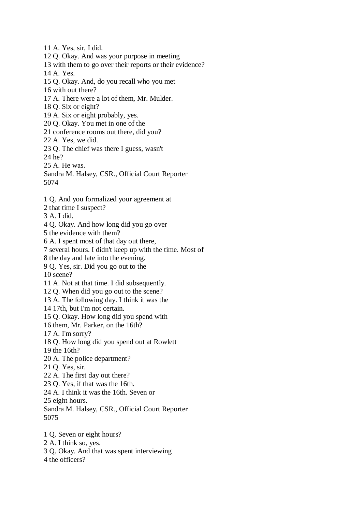12 Q. Okay. And was your purpose in meeting 13 with them to go over their reports or their evidence? 14 A. Yes. 15 Q. Okay. And, do you recall who you met 16 with out there? 17 A. There were a lot of them, Mr. Mulder. 18 Q. Six or eight? 19 A. Six or eight probably, yes. 20 Q. Okay. You met in one of the 21 conference rooms out there, did you? 22 A. Yes, we did. 23 Q. The chief was there I guess, wasn't 24 he? 25 A. He was. Sandra M. Halsey, CSR., Official Court Reporter 5074 1 Q. And you formalized your agreement at 2 that time I suspect? 3 A. I did. 4 Q. Okay. And how long did you go over 5 the evidence with them? 6 A. I spent most of that day out there, 7 several hours. I didn't keep up with the time. Most of 8 the day and late into the evening. 9 Q. Yes, sir. Did you go out to the 10 scene? 11 A. Not at that time. I did subsequently. 12 Q. When did you go out to the scene? 13 A. The following day. I think it was the 14 17th, but I'm not certain. 15 Q. Okay. How long did you spend with 16 them, Mr. Parker, on the 16th? 17 A. I'm sorry? 18 Q. How long did you spend out at Rowlett 19 the 16th? 20 A. The police department? 21 Q. Yes, sir. 22 A. The first day out there? 23 Q. Yes, if that was the 16th. 24 A. I think it was the 16th. Seven or 25 eight hours. Sandra M. Halsey, CSR., Official Court Reporter 5075 1 Q. Seven or eight hours? 2 A. I think so, yes. 3 Q. Okay. And that was spent interviewing 4 the officers?

11 A. Yes, sir, I did.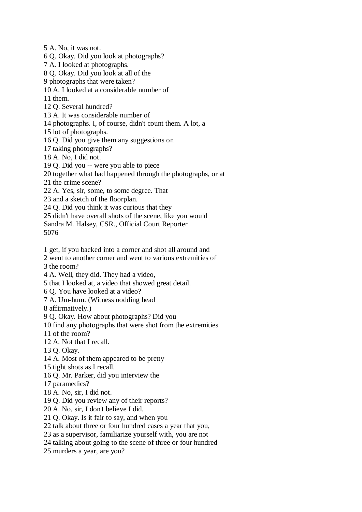5 A. No, it was not.

6 Q. Okay. Did you look at photographs?

7 A. I looked at photographs.

8 Q. Okay. Did you look at all of the

9 photographs that were taken?

10 A. I looked at a considerable number of

11 them.

12 Q. Several hundred?

13 A. It was considerable number of

14 photographs. I, of course, didn't count them. A lot, a

15 lot of photographs.

16 Q. Did you give them any suggestions on

17 taking photographs?

18 A. No, I did not.

19 Q. Did you -- were you able to piece

20 together what had happened through the photographs, or at

21 the crime scene?

22 A. Yes, sir, some, to some degree. That

23 and a sketch of the floorplan.

24 Q. Did you think it was curious that they

25 didn't have overall shots of the scene, like you would

Sandra M. Halsey, CSR., Official Court Reporter 5076

1 get, if you backed into a corner and shot all around and

2 went to another corner and went to various extremities of

3 the room?

4 A. Well, they did. They had a video,

5 that I looked at, a video that showed great detail.

6 Q. You have looked at a video?

7 A. Um-hum. (Witness nodding head

8 affirmatively.)

9 Q. Okay. How about photographs? Did you

10 find any photographs that were shot from the extremities

11 of the room?

12 A. Not that I recall.

13 Q. Okay.

14 A. Most of them appeared to be pretty

15 tight shots as I recall.

16 Q. Mr. Parker, did you interview the

17 paramedics?

18 A. No, sir, I did not.

19 Q. Did you review any of their reports?

20 A. No, sir, I don't believe I did.

21 Q. Okay. Is it fair to say, and when you

22 talk about three or four hundred cases a year that you,

23 as a supervisor, familiarize yourself with, you are not

24 talking about going to the scene of three or four hundred

25 murders a year, are you?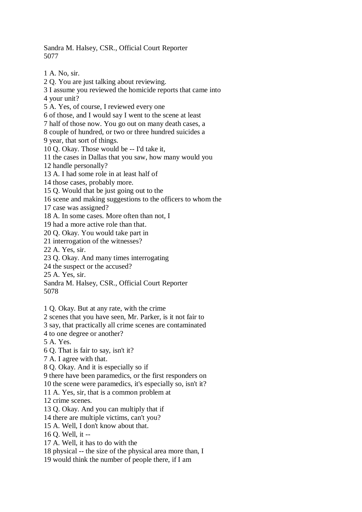## Sandra M. Halsey, CSR., Official Court Reporter 5077

1 A. No, sir.

2 Q. You are just talking about reviewing. 3 I assume you reviewed the homicide reports that came into 4 your unit? 5 A. Yes, of course, I reviewed every one 6 of those, and I would say I went to the scene at least 7 half of those now. You go out on many death cases, a 8 couple of hundred, or two or three hundred suicides a 9 year, that sort of things. 10 Q. Okay. Those would be -- I'd take it, 11 the cases in Dallas that you saw, how many would you 12 handle personally? 13 A. I had some role in at least half of 14 those cases, probably more. 15 Q. Would that be just going out to the 16 scene and making suggestions to the officers to whom the 17 case was assigned? 18 A. In some cases. More often than not, I 19 had a more active role than that. 20 Q. Okay. You would take part in 21 interrogation of the witnesses? 22 A. Yes, sir. 23 Q. Okay. And many times interrogating 24 the suspect or the accused? 25 A. Yes, sir. Sandra M. Halsey, CSR., Official Court Reporter 5078 1 Q. Okay. But at any rate, with the crime 2 scenes that you have seen, Mr. Parker, is it not fair to 3 say, that practically all crime scenes are contaminated 4 to one degree or another? 5 A. Yes. 6 Q. That is fair to say, isn't it? 7 A. I agree with that. 8 Q. Okay. And it is especially so if 9 there have been paramedics, or the first responders on 10 the scene were paramedics, it's especially so, isn't it? 11 A. Yes, sir, that is a common problem at 12 crime scenes. 13 Q. Okay. And you can multiply that if 14 there are multiple victims, can't you? 15 A. Well, I don't know about that. 16 Q. Well, it -- 17 A. Well, it has to do with the 18 physical -- the size of the physical area more than, I 19 would think the number of people there, if I am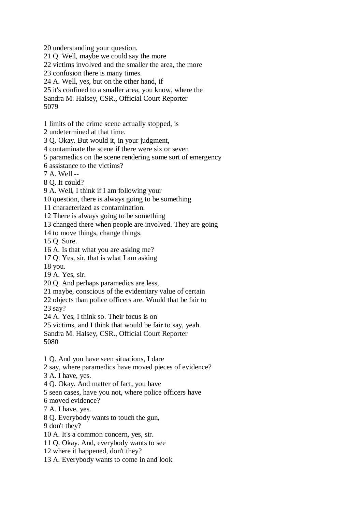20 understanding your question.

21 Q. Well, maybe we could say the more

22 victims involved and the smaller the area, the more

23 confusion there is many times.

24 A. Well, yes, but on the other hand, if

25 it's confined to a smaller area, you know, where the

Sandra M. Halsey, CSR., Official Court Reporter 5079

1 limits of the crime scene actually stopped, is

2 undetermined at that time.

3 Q. Okay. But would it, in your judgment,

4 contaminate the scene if there were six or seven

5 paramedics on the scene rendering some sort of emergency

6 assistance to the victims?

7 A. Well --

8 Q. It could?

9 A. Well, I think if I am following your

10 question, there is always going to be something

11 characterized as contamination.

12 There is always going to be something

13 changed there when people are involved. They are going

14 to move things, change things.

15 Q. Sure.

16 A. Is that what you are asking me?

17 Q. Yes, sir, that is what I am asking

18 you.

19 A. Yes, sir.

20 Q. And perhaps paramedics are less,

21 maybe, conscious of the evidentiary value of certain

22 objects than police officers are. Would that be fair to 23 say?

24 A. Yes, I think so. Their focus is on

25 victims, and I think that would be fair to say, yeah.

Sandra M. Halsey, CSR., Official Court Reporter

5080

1 Q. And you have seen situations, I dare

2 say, where paramedics have moved pieces of evidence?

3 A. I have, yes.

4 Q. Okay. And matter of fact, you have

5 seen cases, have you not, where police officers have

6 moved evidence?

7 A. I have, yes.

8 Q. Everybody wants to touch the gun,

9 don't they?

10 A. It's a common concern, yes, sir.

11 Q. Okay. And, everybody wants to see

12 where it happened, don't they?

13 A. Everybody wants to come in and look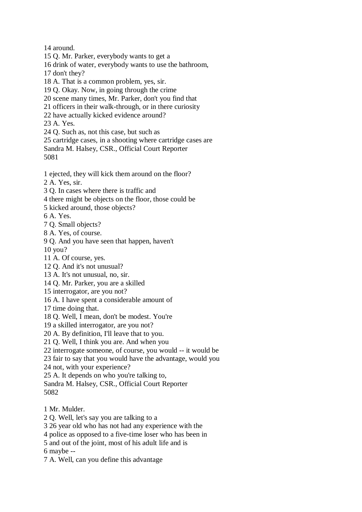14 around.

15 Q. Mr. Parker, everybody wants to get a

16 drink of water, everybody wants to use the bathroom,

17 don't they?

18 A. That is a common problem, yes, sir.

19 Q. Okay. Now, in going through the crime

20 scene many times, Mr. Parker, don't you find that

21 officers in their walk-through, or in there curiosity

22 have actually kicked evidence around?

23 A. Yes.

24 Q. Such as, not this case, but such as

25 cartridge cases, in a shooting where cartridge cases are Sandra M. Halsey, CSR., Official Court Reporter

5081

1 ejected, they will kick them around on the floor?

2 A. Yes, sir.

3 Q. In cases where there is traffic and

4 there might be objects on the floor, those could be

5 kicked around, those objects?

6 A. Yes.

7 Q. Small objects?

8 A. Yes, of course.

9 Q. And you have seen that happen, haven't 10 you?

11 A. Of course, yes.

12 Q. And it's not unusual?

13 A. It's not unusual, no, sir.

14 Q. Mr. Parker, you are a skilled

15 interrogator, are you not?

16 A. I have spent a considerable amount of

17 time doing that.

18 Q. Well, I mean, don't be modest. You're

19 a skilled interrogator, are you not?

20 A. By definition, I'll leave that to you.

21 Q. Well, I think you are. And when you

22 interrogate someone, of course, you would -- it would be

23 fair to say that you would have the advantage, would you

24 not, with your experience?

25 A. It depends on who you're talking to,

Sandra M. Halsey, CSR., Official Court Reporter 5082

1 Mr. Mulder.

2 Q. Well, let's say you are talking to a

3 26 year old who has not had any experience with the

4 police as opposed to a five-time loser who has been in

5 and out of the joint, most of his adult life and is

6 maybe --

7 A. Well, can you define this advantage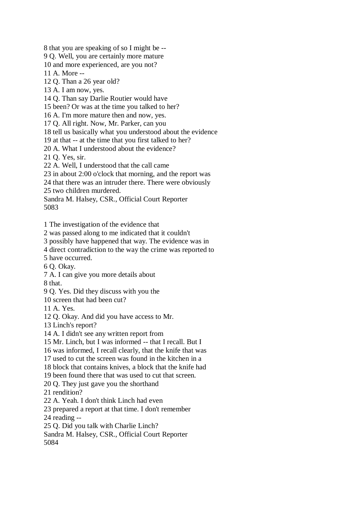8 that you are speaking of so I might be --

9 Q. Well, you are certainly more mature

10 and more experienced, are you not?

11 A. More --

12 Q. Than a 26 year old?

13 A. I am now, yes.

14 Q. Than say Darlie Routier would have

15 been? Or was at the time you talked to her?

16 A. I'm more mature then and now, yes.

17 Q. All right. Now, Mr. Parker, can you

18 tell us basically what you understood about the evidence

19 at that -- at the time that you first talked to her?

20 A. What I understood about the evidence?

21 Q. Yes, sir.

22 A. Well, I understood that the call came

23 in about 2:00 o'clock that morning, and the report was

24 that there was an intruder there. There were obviously

25 two children murdered.

Sandra M. Halsey, CSR., Official Court Reporter 5083

1 The investigation of the evidence that

2 was passed along to me indicated that it couldn't

3 possibly have happened that way. The evidence was in

4 direct contradiction to the way the crime was reported to

5 have occurred.

6 Q. Okay.

7 A. I can give you more details about

8 that.

9 Q. Yes. Did they discuss with you the

10 screen that had been cut?

11 A. Yes.

12 Q. Okay. And did you have access to Mr.

13 Linch's report?

14 A. I didn't see any written report from

15 Mr. Linch, but I was informed -- that I recall. But I

16 was informed, I recall clearly, that the knife that was

17 used to cut the screen was found in the kitchen in a

18 block that contains knives, a block that the knife had

19 been found there that was used to cut that screen.

20 Q. They just gave you the shorthand

21 rendition?

22 A. Yeah. I don't think Linch had even

23 prepared a report at that time. I don't remember

24 reading --

25 Q. Did you talk with Charlie Linch?

Sandra M. Halsey, CSR., Official Court Reporter 5084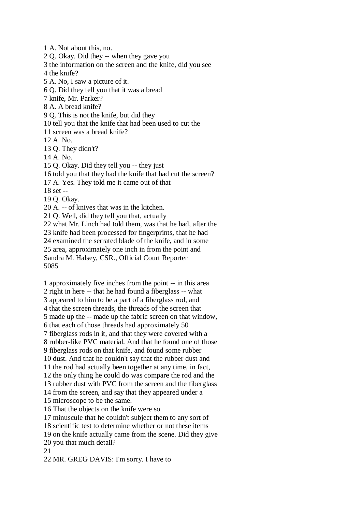1 A. Not about this, no.

2 Q. Okay. Did they -- when they gave you

3 the information on the screen and the knife, did you see

4 the knife?

5 A. No, I saw a picture of it.

6 Q. Did they tell you that it was a bread

7 knife, Mr. Parker?

8 A. A bread knife?

9 Q. This is not the knife, but did they

10 tell you that the knife that had been used to cut the

11 screen was a bread knife?

12 A. No.

13 Q. They didn't?

14 A. No.

15 Q. Okay. Did they tell you -- they just

16 told you that they had the knife that had cut the screen?

17 A. Yes. They told me it came out of that

18 set --

19 Q. Okay.

20 A. -- of knives that was in the kitchen.

21 Q. Well, did they tell you that, actually

22 what Mr. Linch had told them, was that he had, after the

23 knife had been processed for fingerprints, that he had

24 examined the serrated blade of the knife, and in some

25 area, approximately one inch in from the point and

Sandra M. Halsey, CSR., Official Court Reporter 5085

1 approximately five inches from the point -- in this area 2 right in here -- that he had found a fiberglass -- what 3 appeared to him to be a part of a fiberglass rod, and 4 that the screen threads, the threads of the screen that 5 made up the -- made up the fabric screen on that window, 6 that each of those threads had approximately 50 7 fiberglass rods in it, and that they were covered with a 8 rubber-like PVC material. And that he found one of those 9 fiberglass rods on that knife, and found some rubber 10 dust. And that he couldn't say that the rubber dust and 11 the rod had actually been together at any time, in fact, 12 the only thing he could do was compare the rod and the 13 rubber dust with PVC from the screen and the fiberglass 14 from the screen, and say that they appeared under a 15 microscope to be the same. 16 That the objects on the knife were so 17 minuscule that he couldn't subject them to any sort of 18 scientific test to determine whether or not these items 19 on the knife actually came from the scene. Did they give 20 you that much detail?

21

22 MR. GREG DAVIS: I'm sorry. I have to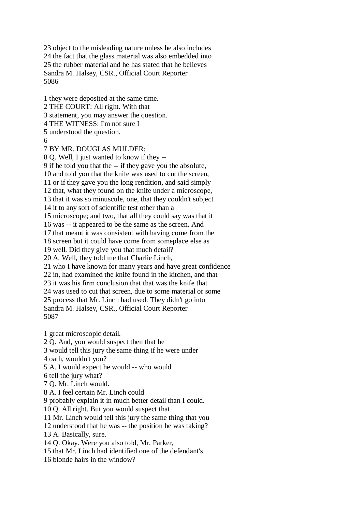23 object to the misleading nature unless he also includes 24 the fact that the glass material was also embedded into 25 the rubber material and he has stated that he believes Sandra M. Halsey, CSR., Official Court Reporter 5086

1 they were deposited at the same time. 2 THE COURT: All right. With that 3 statement, you may answer the question. 4 THE WITNESS: I'm not sure I 5 understood the question. 6 7 BY MR. DOUGLAS MULDER: 8 Q. Well, I just wanted to know if they -- 9 if he told you that the -- if they gave you the absolute, 10 and told you that the knife was used to cut the screen, 11 or if they gave you the long rendition, and said simply 12 that, what they found on the knife under a microscope, 13 that it was so minuscule, one, that they couldn't subject 14 it to any sort of scientific test other than a 15 microscope; and two, that all they could say was that it 16 was -- it appeared to be the same as the screen. And 17 that meant it was consistent with having come from the 18 screen but it could have come from someplace else as 19 well. Did they give you that much detail? 20 A. Well, they told me that Charlie Linch, 21 who I have known for many years and have great confidence 22 in, had examined the knife found in the kitchen, and that 23 it was his firm conclusion that that was the knife that 24 was used to cut that screen, due to some material or some 25 process that Mr. Linch had used. They didn't go into Sandra M. Halsey, CSR., Official Court Reporter 5087 1 great microscopic detail.

2 Q. And, you would suspect then that he

3 would tell this jury the same thing if he were under

4 oath, wouldn't you?

5 A. I would expect he would -- who would

6 tell the jury what?

7 Q. Mr. Linch would.

8 A. I feel certain Mr. Linch could

9 probably explain it in much better detail than I could.

10 Q. All right. But you would suspect that

11 Mr. Linch would tell this jury the same thing that you

12 understood that he was -- the position he was taking?

13 A. Basically, sure.

14 Q. Okay. Were you also told, Mr. Parker,

15 that Mr. Linch had identified one of the defendant's

16 blonde hairs in the window?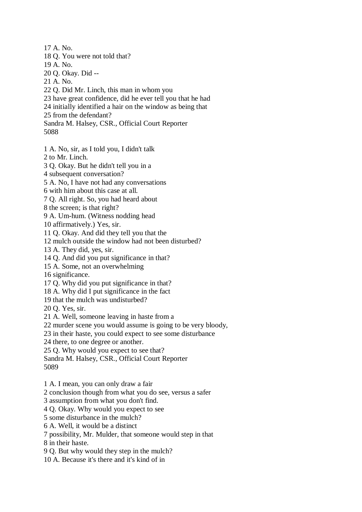17 A. No. 18 Q. You were not told that? 19 A. No. 20 Q. Okay. Did -- 21 A. No. 22 Q. Did Mr. Linch, this man in whom you 23 have great confidence, did he ever tell you that he had 24 initially identified a hair on the window as being that 25 from the defendant? Sandra M. Halsey, CSR., Official Court Reporter 5088

- 1 A. No, sir, as I told you, I didn't talk
- 2 to Mr. Linch.
- 3 Q. Okay. But he didn't tell you in a
- 4 subsequent conversation?
- 5 A. No, I have not had any conversations
- 6 with him about this case at all.
- 7 Q. All right. So, you had heard about
- 8 the screen; is that right?
- 9 A. Um-hum. (Witness nodding head
- 10 affirmatively.) Yes, sir.
- 11 Q. Okay. And did they tell you that the
- 12 mulch outside the window had not been disturbed?
- 13 A. They did, yes, sir.
- 14 Q. And did you put significance in that?
- 15 A. Some, not an overwhelming
- 16 significance.
- 17 Q. Why did you put significance in that?
- 18 A. Why did I put significance in the fact
- 19 that the mulch was undisturbed?
- 20 Q. Yes, sir.
- 21 A. Well, someone leaving in haste from a
- 22 murder scene you would assume is going to be very bloody,
- 23 in their haste, you could expect to see some disturbance
- 24 there, to one degree or another.
- 25 Q. Why would you expect to see that?
- Sandra M. Halsey, CSR., Official Court Reporter 5089
- 
- 1 A. I mean, you can only draw a fair
- 2 conclusion though from what you do see, versus a safer
- 3 assumption from what you don't find.
- 4 Q. Okay. Why would you expect to see
- 5 some disturbance in the mulch?
- 6 A. Well, it would be a distinct
- 7 possibility, Mr. Mulder, that someone would step in that 8 in their haste.
- 
- 9 Q. But why would they step in the mulch?
- 10 A. Because it's there and it's kind of in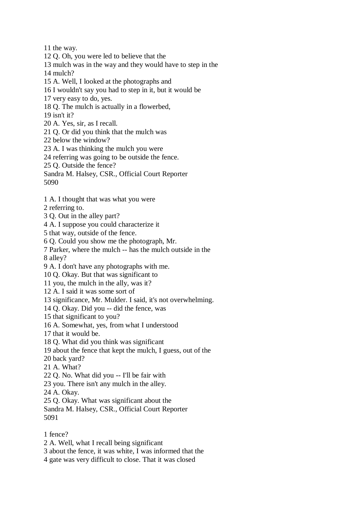11 the way.

12 Q. Oh, you were led to believe that the

13 mulch was in the way and they would have to step in the 14 mulch?

15 A. Well, I looked at the photographs and

16 I wouldn't say you had to step in it, but it would be

17 very easy to do, yes.

18 Q. The mulch is actually in a flowerbed,

19 isn't it?

20 A. Yes, sir, as I recall.

21 Q. Or did you think that the mulch was

22 below the window?

23 A. I was thinking the mulch you were

24 referring was going to be outside the fence.

25 Q. Outside the fence?

Sandra M. Halsey, CSR., Official Court Reporter

5090

1 A. I thought that was what you were

2 referring to.

3 Q. Out in the alley part?

4 A. I suppose you could characterize it

5 that way, outside of the fence.

6 Q. Could you show me the photograph, Mr.

7 Parker, where the mulch -- has the mulch outside in the 8 alley?

9 A. I don't have any photographs with me.

10 Q. Okay. But that was significant to

11 you, the mulch in the ally, was it?

12 A. I said it was some sort of

13 significance, Mr. Mulder. I said, it's not overwhelming.

14 Q. Okay. Did you -- did the fence, was

15 that significant to you?

16 A. Somewhat, yes, from what I understood

17 that it would be.

18 Q. What did you think was significant

19 about the fence that kept the mulch, I guess, out of the

20 back yard?

21 A. What?

22 Q. No. What did you -- I'll be fair with

23 you. There isn't any mulch in the alley.

24 A. Okay.

25 Q. Okay. What was significant about the

Sandra M. Halsey, CSR., Official Court Reporter 5091

1 fence?

2 A. Well, what I recall being significant

3 about the fence, it was white, I was informed that the

4 gate was very difficult to close. That it was closed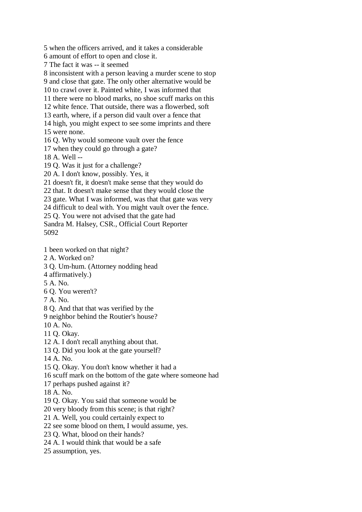5 when the officers arrived, and it takes a considerable 6 amount of effort to open and close it. 7 The fact it was -- it seemed 8 inconsistent with a person leaving a murder scene to stop 9 and close that gate. The only other alternative would be 10 to crawl over it. Painted white, I was informed that 11 there were no blood marks, no shoe scuff marks on this 12 white fence. That outside, there was a flowerbed, soft 13 earth, where, if a person did vault over a fence that 14 high, you might expect to see some imprints and there 15 were none. 16 Q. Why would someone vault over the fence 17 when they could go through a gate? 18 A. Well -- 19 Q. Was it just for a challenge? 20 A. I don't know, possibly. Yes, it 21 doesn't fit, it doesn't make sense that they would do 22 that. It doesn't make sense that they would close the 23 gate. What I was informed, was that that gate was very 24 difficult to deal with. You might vault over the fence. 25 Q. You were not advised that the gate had Sandra M. Halsey, CSR., Official Court Reporter 5092 1 been worked on that night? 2 A. Worked on? 3 Q. Um-hum. (Attorney nodding head 4 affirmatively.)

- 5 A. No.
- 6 Q. You weren't?
- 7 A. No.
- 8 Q. And that that was verified by the
- 9 neighbor behind the Routier's house?
- 10 A. No.
- 11 Q. Okay.
- 12 A. I don't recall anything about that.
- 13 Q. Did you look at the gate yourself?
- 14 A. No.
- 15 Q. Okay. You don't know whether it had a
- 16 scuff mark on the bottom of the gate where someone had
- 17 perhaps pushed against it?
- 18 A. No.
- 19 Q. Okay. You said that someone would be
- 20 very bloody from this scene; is that right?
- 21 A. Well, you could certainly expect to
- 22 see some blood on them, I would assume, yes.
- 23 Q. What, blood on their hands?
- 24 A. I would think that would be a safe
- 25 assumption, yes.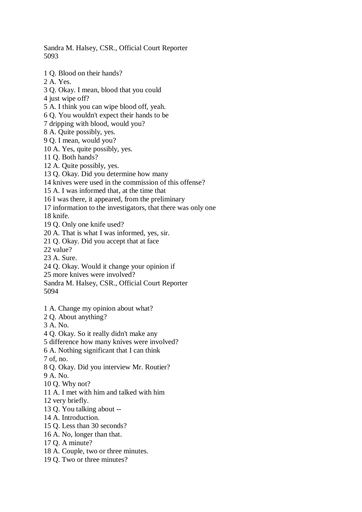Sandra M. Halsey, CSR., Official Court Reporter 5093

- 1 Q. Blood on their hands?
- 2 A. Yes.
- 3 Q. Okay. I mean, blood that you could
- 4 just wipe off?
- 5 A. I think you can wipe blood off, yeah.
- 6 Q. You wouldn't expect their hands to be
- 7 dripping with blood, would you?
- 8 A. Quite possibly, yes.
- 9 Q. I mean, would you?
- 10 A. Yes, quite possibly, yes.
- 11 Q. Both hands?
- 12 A. Quite possibly, yes.
- 13 Q. Okay. Did you determine how many
- 14 knives were used in the commission of this offense?
- 15 A. I was informed that, at the time that
- 16 I was there, it appeared, from the preliminary
- 17 information to the investigators, that there was only one

18 knife.

- 19 Q. Only one knife used?
- 20 A. That is what I was informed, yes, sir.
- 21 Q. Okay. Did you accept that at face
- 22 value?
- 23 A. Sure.
- 24 Q. Okay. Would it change your opinion if
- 25 more knives were involved?

Sandra M. Halsey, CSR., Official Court Reporter 5094

- 1 A. Change my opinion about what?
- 2 Q. About anything?

3 A. No.

- 4 Q. Okay. So it really didn't make any
- 5 difference how many knives were involved?
- 6 A. Nothing significant that I can think

7 of, no.

8 Q. Okay. Did you interview Mr. Routier?

9 A. No.

- 10 Q. Why not?
- 11 A. I met with him and talked with him
- 12 very briefly.
- 13 Q. You talking about --
- 14 A. Introduction.
- 15 Q. Less than 30 seconds?
- 16 A. No, longer than that.
- 17 Q. A minute?
- 18 A. Couple, two or three minutes.
- 19 Q. Two or three minutes?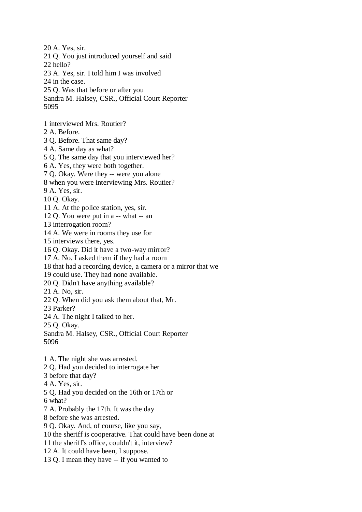20 A. Yes, sir. 21 Q. You just introduced yourself and said 22 hello? 23 A. Yes, sir. I told him I was involved 24 in the case. 25 Q. Was that before or after you Sandra M. Halsey, CSR., Official Court Reporter 5095 1 interviewed Mrs. Routier? 2 A. Before. 3 Q. Before. That same day? 4 A. Same day as what? 5 Q. The same day that you interviewed her? 6 A. Yes, they were both together. 7 Q. Okay. Were they -- were you alone 8 when you were interviewing Mrs. Routier? 9 A. Yes, sir. 10 Q. Okay. 11 A. At the police station, yes, sir. 12 Q. You were put in a -- what -- an 13 interrogation room? 14 A. We were in rooms they use for 15 interviews there, yes. 16 Q. Okay. Did it have a two-way mirror? 17 A. No. I asked them if they had a room 18 that had a recording device, a camera or a mirror that we 19 could use. They had none available. 20 Q. Didn't have anything available? 21 A. No, sir. 22 Q. When did you ask them about that, Mr. 23 Parker? 24 A. The night I talked to her. 25 Q. Okay. Sandra M. Halsey, CSR., Official Court Reporter 5096 1 A. The night she was arrested. 2 Q. Had you decided to interrogate her 3 before that day? 4 A. Yes, sir. 5 Q. Had you decided on the 16th or 17th or 6 what? 7 A. Probably the 17th. It was the day 8 before she was arrested. 9 Q. Okay. And, of course, like you say, 10 the sheriff is cooperative. That could have been done at 11 the sheriff's office, couldn't it, interview? 12 A. It could have been, I suppose. 13 Q. I mean they have -- if you wanted to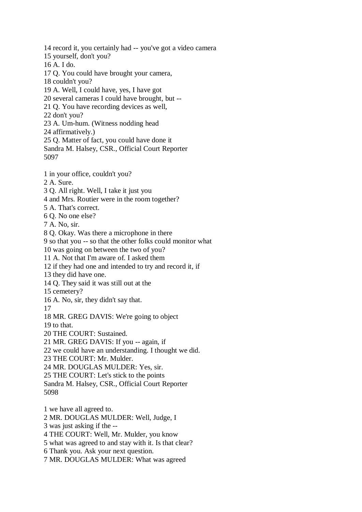14 record it, you certainly had -- you've got a video camera 15 yourself, don't you? 16 A. I do. 17 Q. You could have brought your camera, 18 couldn't you? 19 A. Well, I could have, yes, I have got 20 several cameras I could have brought, but -- 21 Q. You have recording devices as well, 22 don't you? 23 A. Um-hum. (Witness nodding head 24 affirmatively.) 25 Q. Matter of fact, you could have done it Sandra M. Halsey, CSR., Official Court Reporter 5097 1 in your office, couldn't you? 2 A. Sure. 3 Q. All right. Well, I take it just you 4 and Mrs. Routier were in the room together? 5 A. That's correct. 6 Q. No one else? 7 A. No, sir. 8 Q. Okay. Was there a microphone in there 9 so that you -- so that the other folks could monitor what 10 was going on between the two of you? 11 A. Not that I'm aware of. I asked them 12 if they had one and intended to try and record it, if 13 they did have one. 14 Q. They said it was still out at the 15 cemetery? 16 A. No, sir, they didn't say that. 17 18 MR. GREG DAVIS: We're going to object 19 to that. 20 THE COURT: Sustained. 21 MR. GREG DAVIS: If you -- again, if 22 we could have an understanding. I thought we did. 23 THE COURT: Mr. Mulder. 24 MR. DOUGLAS MULDER: Yes, sir. 25 THE COURT: Let's stick to the points Sandra M. Halsey, CSR., Official Court Reporter 5098 1 we have all agreed to. 2 MR. DOUGLAS MULDER: Well, Judge, I

3 was just asking if the -- 4 THE COURT: Well, Mr. Mulder, you know

5 what was agreed to and stay with it. Is that clear?

6 Thank you. Ask your next question.

7 MR. DOUGLAS MULDER: What was agreed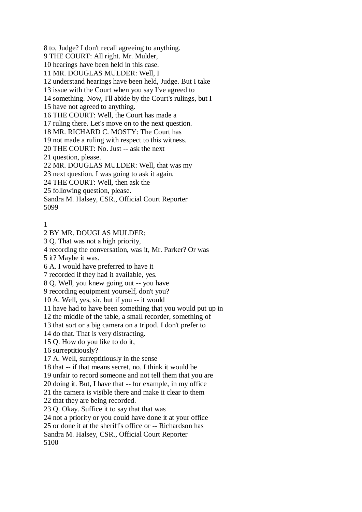8 to, Judge? I don't recall agreeing to anything.

9 THE COURT: All right. Mr. Mulder,

10 hearings have been held in this case.

11 MR. DOUGLAS MULDER: Well, I

12 understand hearings have been held, Judge. But I take

13 issue with the Court when you say I've agreed to

14 something. Now, I'll abide by the Court's rulings, but I

15 have not agreed to anything.

16 THE COURT: Well, the Court has made a

17 ruling there. Let's move on to the next question.

18 MR. RICHARD C. MOSTY: The Court has

19 not made a ruling with respect to this witness.

20 THE COURT: No. Just -- ask the next

21 question, please.

22 MR. DOUGLAS MULDER: Well, that was my

23 next question. I was going to ask it again.

24 THE COURT: Well, then ask the

25 following question, please.

Sandra M. Halsey, CSR., Official Court Reporter 5099

1

2 BY MR. DOUGLAS MULDER:

3 Q. That was not a high priority,

4 recording the conversation, was it, Mr. Parker? Or was

5 it? Maybe it was.

6 A. I would have preferred to have it

7 recorded if they had it available, yes.

8 Q. Well, you knew going out -- you have

9 recording equipment yourself, don't you?

10 A. Well, yes, sir, but if you -- it would

11 have had to have been something that you would put up in

12 the middle of the table, a small recorder, something of

13 that sort or a big camera on a tripod. I don't prefer to

14 do that. That is very distracting.

15 Q. How do you like to do it,

16 surreptitiously?

17 A. Well, surreptitiously in the sense

18 that -- if that means secret, no. I think it would be

19 unfair to record someone and not tell them that you are

20 doing it. But, I have that -- for example, in my office

21 the camera is visible there and make it clear to them

22 that they are being recorded.

23 Q. Okay. Suffice it to say that that was

24 not a priority or you could have done it at your office

25 or done it at the sheriff's office or -- Richardson has

Sandra M. Halsey, CSR., Official Court Reporter

5100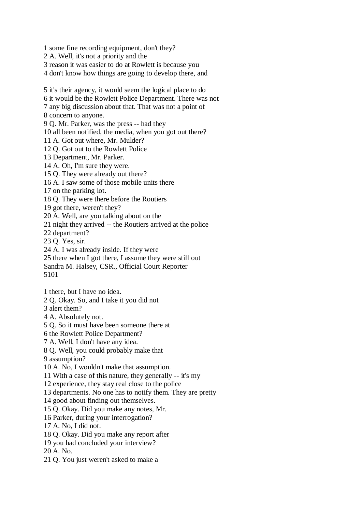1 some fine recording equipment, don't they?

2 A. Well, it's not a priority and the

3 reason it was easier to do at Rowlett is because you

4 don't know how things are going to develop there, and

5 it's their agency, it would seem the logical place to do 6 it would be the Rowlett Police Department. There was not 7 any big discussion about that. That was not a point of 8 concern to anyone. 9 Q. Mr. Parker, was the press -- had they 10 all been notified, the media, when you got out there? 11 A. Got out where, Mr. Mulder? 12 Q. Got out to the Rowlett Police 13 Department, Mr. Parker. 14 A. Oh, I'm sure they were. 15 Q. They were already out there? 16 A. I saw some of those mobile units there 17 on the parking lot. 18 Q. They were there before the Routiers 19 got there, weren't they? 20 A. Well, are you talking about on the 21 night they arrived -- the Routiers arrived at the police 22 department? 23 Q. Yes, sir. 24 A. I was already inside. If they were 25 there when I got there, I assume they were still out Sandra M. Halsey, CSR., Official Court Reporter 5101

1 there, but I have no idea.

2 Q. Okay. So, and I take it you did not

3 alert them?

4 A. Absolutely not.

5 Q. So it must have been someone there at

6 the Rowlett Police Department?

7 A. Well, I don't have any idea.

8 Q. Well, you could probably make that

9 assumption?

10 A. No, I wouldn't make that assumption.

11 With a case of this nature, they generally -- it's my

12 experience, they stay real close to the police

13 departments. No one has to notify them. They are pretty

14 good about finding out themselves.

15 Q. Okay. Did you make any notes, Mr.

16 Parker, during your interrogation?

17 A. No, I did not.

18 Q. Okay. Did you make any report after

19 you had concluded your interview?

20 A. No.

21 Q. You just weren't asked to make a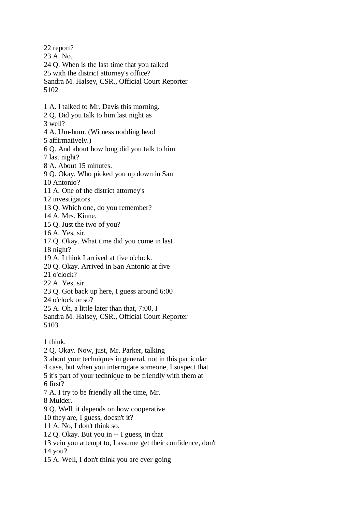22 report? 23 A. No. 24 Q. When is the last time that you talked 25 with the district attorney's office? Sandra M. Halsey, CSR., Official Court Reporter 5102 1 A. I talked to Mr. Davis this morning. 2 Q. Did you talk to him last night as 3 well? 4 A. Um-hum. (Witness nodding head 5 affirmatively.) 6 Q. And about how long did you talk to him 7 last night? 8 A. About 15 minutes. 9 Q. Okay. Who picked you up down in San 10 Antonio? 11 A. One of the district attorney's 12 investigators. 13 Q. Which one, do you remember? 14 A. Mrs. Kinne. 15 Q. Just the two of you? 16 A. Yes, sir. 17 Q. Okay. What time did you come in last 18 night? 19 A. I think I arrived at five o'clock. 20 Q. Okay. Arrived in San Antonio at five 21 o'clock? 22 A. Yes, sir. 23 Q. Got back up here, I guess around 6:00 24 o'clock or so? 25 A. Oh, a little later than that, 7:00, I Sandra M. Halsey, CSR., Official Court Reporter 5103 1 think. 2 Q. Okay. Now, just, Mr. Parker, talking 3 about your techniques in general, not in this particular 4 case, but when you interrogate someone, I suspect that 5 it's part of your technique to be friendly with them at 6 first? 7 A. I try to be friendly all the time, Mr. 8 Mulder. 9 Q. Well, it depends on how cooperative 10 they are, I guess, doesn't it? 11 A. No, I don't think so. 12 Q. Okay. But you in -- I guess, in that

13 vein you attempt to, I assume get their confidence, don't

14 you?

15 A. Well, I don't think you are ever going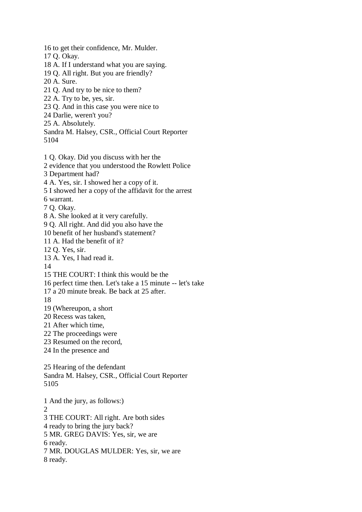16 to get their confidence, Mr. Mulder.

17 Q. Okay.

18 A. If I understand what you are saying.

19 Q. All right. But you are friendly?

20 A. Sure.

21 Q. And try to be nice to them?

- 22 A. Try to be, yes, sir.
- 23 Q. And in this case you were nice to
- 24 Darlie, weren't you?
- 25 A. Absolutely.

Sandra M. Halsey, CSR., Official Court Reporter 5104

1 Q. Okay. Did you discuss with her the

- 2 evidence that you understood the Rowlett Police
- 3 Department had?

4 A. Yes, sir. I showed her a copy of it.

5 I showed her a copy of the affidavit for the arrest

6 warrant.

7 Q. Okay.

8 A. She looked at it very carefully.

9 Q. All right. And did you also have the

10 benefit of her husband's statement?

11 A. Had the benefit of it?

12 Q. Yes, sir.

13 A. Yes, I had read it.

14

15 THE COURT: I think this would be the

16 perfect time then. Let's take a 15 minute -- let's take

17 a 20 minute break. Be back at 25 after.

18

19 (Whereupon, a short

20 Recess was taken,

21 After which time,

- 22 The proceedings were
- 23 Resumed on the record,
- 24 In the presence and

25 Hearing of the defendant Sandra M. Halsey, CSR., Official Court Reporter 5105

1 And the jury, as follows:) 2 3 THE COURT: All right. Are both sides 4 ready to bring the jury back? 5 MR. GREG DAVIS: Yes, sir, we are 6 ready. 7 MR. DOUGLAS MULDER: Yes, sir, we are 8 ready.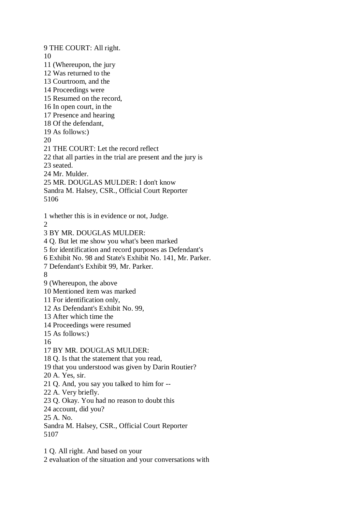9 THE COURT: All right. 10 11 (Whereupon, the jury 12 Was returned to the 13 Courtroom, and the 14 Proceedings were 15 Resumed on the record, 16 In open court, in the 17 Presence and hearing 18 Of the defendant, 19 As follows:) 20 21 THE COURT: Let the record reflect 22 that all parties in the trial are present and the jury is 23 seated. 24 Mr. Mulder. 25 MR. DOUGLAS MULDER: I don't know Sandra M. Halsey, CSR., Official Court Reporter 5106 1 whether this is in evidence or not, Judge.  $\mathcal{D}$ 3 BY MR. DOUGLAS MULDER: 4 Q. But let me show you what's been marked 5 for identification and record purposes as Defendant's 6 Exhibit No. 98 and State's Exhibit No. 141, Mr. Parker. 7 Defendant's Exhibit 99, Mr. Parker. 8 9 (Whereupon, the above 10 Mentioned item was marked 11 For identification only, 12 As Defendant's Exhibit No. 99, 13 After which time the 14 Proceedings were resumed 15 As follows:) 16 17 BY MR. DOUGLAS MULDER: 18 Q. Is that the statement that you read, 19 that you understood was given by Darin Routier? 20 A. Yes, sir. 21 Q. And, you say you talked to him for -- 22 A. Very briefly. 23 Q. Okay. You had no reason to doubt this 24 account, did you? 25 A. No. Sandra M. Halsey, CSR., Official Court Reporter 5107

1 Q. All right. And based on your 2 evaluation of the situation and your conversations with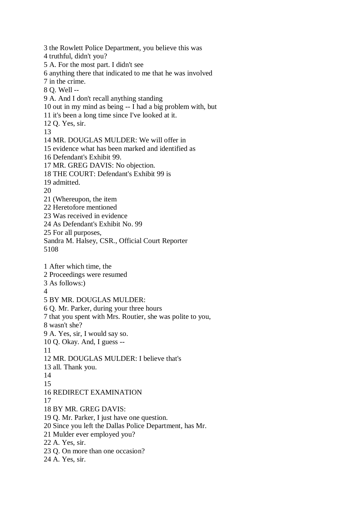3 the Rowlett Police Department, you believe this was 4 truthful, didn't you? 5 A. For the most part. I didn't see 6 anything there that indicated to me that he was involved 7 in the crime. 8 Q. Well -- 9 A. And I don't recall anything standing 10 out in my mind as being -- I had a big problem with, but 11 it's been a long time since I've looked at it. 12 Q. Yes, sir. 13 14 MR. DOUGLAS MULDER: We will offer in 15 evidence what has been marked and identified as 16 Defendant's Exhibit 99. 17 MR. GREG DAVIS: No objection. 18 THE COURT: Defendant's Exhibit 99 is 19 admitted. 20 21 (Whereupon, the item 22 Heretofore mentioned 23 Was received in evidence 24 As Defendant's Exhibit No. 99 25 For all purposes, Sandra M. Halsey, CSR., Official Court Reporter 5108 1 After which time, the 2 Proceedings were resumed 3 As follows:) 4 5 BY MR. DOUGLAS MULDER: 6 Q. Mr. Parker, during your three hours 7 that you spent with Mrs. Routier, she was polite to you, 8 wasn't she? 9 A. Yes, sir, I would say so. 10 Q. Okay. And, I guess -- 11 12 MR. DOUGLAS MULDER: I believe that's 13 all. Thank you. 14 15 16 REDIRECT EXAMINATION 17 18 BY MR. GREG DAVIS: 19 Q. Mr. Parker, I just have one question. 20 Since you left the Dallas Police Department, has Mr. 21 Mulder ever employed you? 22 A. Yes, sir. 23 Q. On more than one occasion? 24 A. Yes, sir.